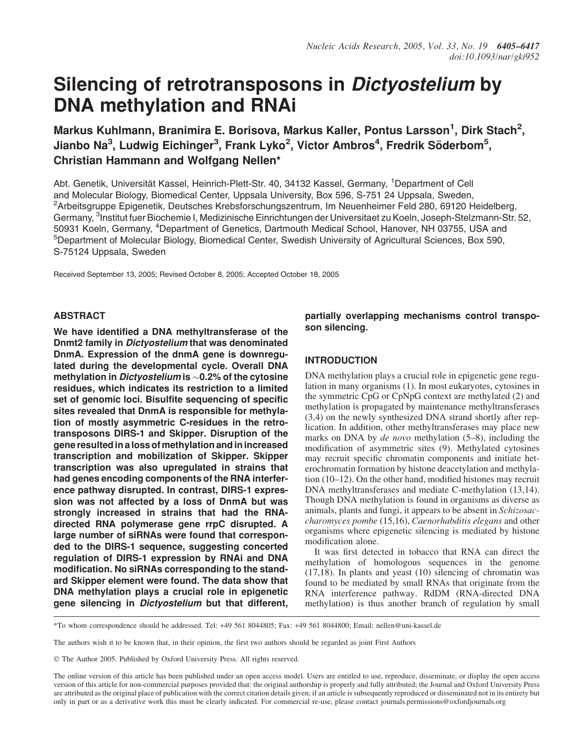# Silencing of retrotransposons in *Dictyostelium* by DNA methylation and RNAi

Markus Kuhlmann, Branimira E. Borisova, Markus Kaller, Pontus Larsson<sup>1</sup>, Dirk Stach<sup>2</sup>, Jianbo Na $^3$ , Ludwig Eichinger $^3$ , Frank Lyko $^2$ , Victor Ambros $^4$ , Fredrik Söderbom $^5\!$ Christian Hammann and Wolfgang Nellen\*

Abt. Genetik, Universität Kassel, Heinrich-Plett-Str. 40, 34132 Kassel, Germany, <sup>1</sup>Department of Cell and Molecular Biology, Biomedical Center, Uppsala University, Box 596, S-751 24 Uppsala, Sweden, <sup>2</sup>Arbeitsgruppe Epigenetik, Deutsches Krebsforschungszentrum, Im Neuenheimer Feld 280, 69120 Heidelberg, Germany, <sup>3</sup>Institut fuer Biochemie I, Medizinische Einrichtungen der Universitaet zu Koeln, Joseph-Stelzmann-Str. 52, 50931 Koeln, Germany, <sup>4</sup>Department of Genetics, Dartmouth Medical School, Hanover, NH 03755, USA and 5 Department of Molecular Biology, Biomedical Center, Swedish University of Agricultural Sciences, Box 590, S-75124 Uppsala, Sweden

Received September 13, 2005; Revised October 8, 2005; Accepted October 18, 2005

# **ABSTRACT**

We have identified a DNA methyltransferase of the Dnmt2 family in Dictyostelium that was denominated DnmA. Expression of the dnmA gene is downregulated during the developmental cycle. Overall DNA methylation in *Dictyostelium* is  $\sim$  0.2% of the cytosine residues, which indicates its restriction to a limited set of genomic loci. Bisulfite sequencing of specific sites revealed that DnmA is responsible for methylation of mostly asymmetric C-residues in the retrotransposons DIRS-1 and Skipper. Disruption of the gene resulted in a loss of methylation and in increased transcription and mobilization of Skipper. Skipper transcription was also upregulated in strains that had genes encoding components of the RNA interference pathway disrupted. In contrast, DIRS-1 expression was not affected by a loss of DnmA but was strongly increased in strains that had the RNAdirected RNA polymerase gene rrpC disrupted. A large number of siRNAs were found that corresponded to the DIRS-1 sequence, suggesting concerted regulation of DIRS-1 expression by RNAi and DNA modification. No siRNAs corresponding to the standard Skipper element were found. The data show that DNA methylation plays a crucial role in epigenetic gene silencing in *Dictvostelium* but that different.

# partially overlapping mechanisms control transposon silencing.

# INTRODUCTION

DNA methylation plays a crucial role in epigenetic gene regulation in many organisms (1). In most eukaryotes, cytosines in the symmetric CpG or CpNpG context are methylated (2) and methylation is propagated by maintenance methyltransferases (3,4) on the newly synthesized DNA strand shortly after replication. In addition, other methyltransferases may place new marks on DNA by *de novo* methylation (5–8), including the modification of asymmetric sites (9). Methylated cytosines may recruit specific chromatin components and initiate heterochromatin formation by histone deacetylation and methylation (10–12). On the other hand, modified histones may recruit DNA methyltransferases and mediate C-methylation (13,14). Though DNA methylation is found in organisms as diverse as animals, plants and fungi, it appears to be absent in Schizosaccharomyces pombe (15,16), Caenorhabditis elegans and other organisms where epigenetic silencing is mediated by histone modification alone.

It was first detected in tobacco that RNA can direct the methylation of homologous sequences in the genome (17,18). In plants and yeast (10) silencing of chromatin was found to be mediated by small RNAs that originate from the RNA interference pathway. RdDM (RNA-directed DNA methylation) is thus another branch of regulation by small

The authors wish it to be known that, in their opinion, the first two authors should be regarded as joint First Authors

<sup>\*</sup>To whom correspondence should be addressed. Tel: +49 561 8044805; Fax: +49 561 8044800; Email: nellen@uni-kassel.de

<sup>-</sup> The Author 2005. Published by Oxford University Press. All rights reserved.

The online version of this article has been published under an open access model. Users are entitled to use, reproduce, disseminate, or display the open access version of this article for non-commercial purposes provided that: the original authorship is properly and fully attributed; the Journal and Oxford University Press are attributed as the original place of publication with the correct citation details given; if an article is subsequently reproduced or disseminated not in its entirety but only in part or as a derivative work this must be clearly indicated. For commercial re-use, please contact journals.permissions@oxfordjournals.org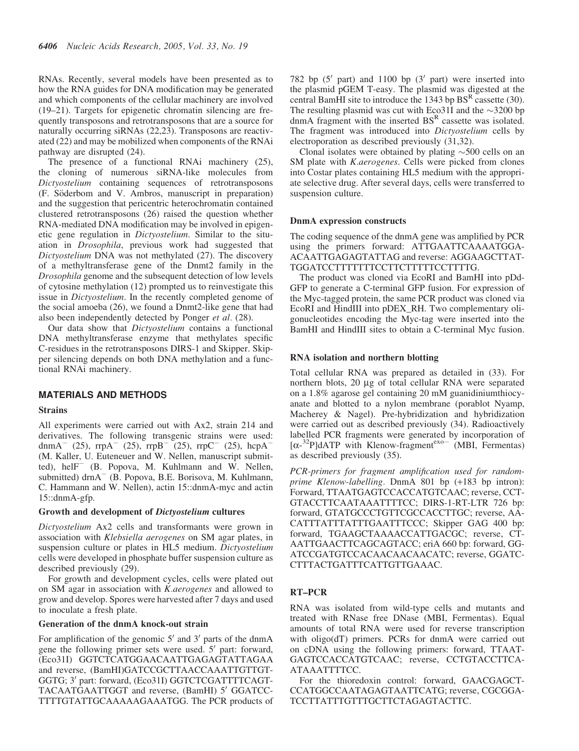RNAs. Recently, several models have been presented as to how the RNA guides for DNA modification may be generated and which components of the cellular machinery are involved (19–21). Targets for epigenetic chromatin silencing are frequently transposons and retrotransposons that are a source for naturally occurring siRNAs (22,23). Transposons are reactivated (22) and may be mobilized when components of the RNAi pathway are disrupted (24).

The presence of a functional RNAi machinery (25), the cloning of numerous siRNA-like molecules from Dictyostelium containing sequences of retrotransposons (F. Söderbom and V. Ambros, manuscript in preparation) and the suggestion that pericentric heterochromatin contained clustered retrotransposons (26) raised the question whether RNA-mediated DNA modification may be involved in epigenetic gene regulation in Dictyostelium. Similar to the situation in Drosophila, previous work had suggested that Dictyostelium DNA was not methylated (27). The discovery of a methyltransferase gene of the Dnmt2 family in the Drosophila genome and the subsequent detection of low levels of cytosine methylation (12) prompted us to reinvestigate this issue in Dictyostelium. In the recently completed genome of the social amoeba (26), we found a Dnmt2-like gene that had also been independently detected by Ponger et al. (28).

Our data show that Dictyostelium contains a functional DNA methyltransferase enzyme that methylates specific C-residues in the retrotransposons DIRS-1 and Skipper. Skipper silencing depends on both DNA methylation and a functional RNAi machinery.

# MATERIALS AND METHODS

## Strains

All experiments were carried out with Ax2, strain 214 and derivatives. The following transgenic strains were used: dnmA<sup>-</sup> (25), rrpA<sup>-</sup> (25), rrpB<sup>-</sup> (25), rrpC<sup>-</sup> (25), hcpA<sup>-</sup> (M. Kaller, U. Euteneuer and W. Nellen, manuscript submit- $\text{ted}$ ), hel $\text{F}^-$  (B. Popova, M. Kuhlmann and W. Nellen, submitted) drnA<sup>-</sup> (B. Popova, B.E. Borisova, M. Kuhlmann, C. Hammann and W. Nellen), actin 15::dnmA-myc and actin 15::dnmA-gfp.

#### Growth and development of Dictyostelium cultures

Dictyostelium Ax2 cells and transformants were grown in association with Klebsiella aerogenes on SM agar plates, in suspension culture or plates in HL5 medium. Dictyostelium cells were developed in phosphate buffer suspension culture as described previously (29).

For growth and development cycles, cells were plated out on SM agar in association with K.aerogenes and allowed to grow and develop. Spores were harvested after 7 days and used to inoculate a fresh plate.

### Generation of the dnmA knock-out strain

For amplification of the genomic  $5'$  and  $3'$  parts of the dnmA gene the following primer sets were used.  $5'$  part: forward, (Eco31I) GGTCTCATGGAACAATTGAGAGTATTAGAA and reverse, (BamHI)GATCCGCTTAACCAAATTGTTGT-GGTG; 3' part: forward, (Eco31I) GGTCTCGATTTTCAGT-TACAATGAATTGGT and reverse, (BamHI) 5' GGATCC-TTTTGTATTGCAAAAAGAAATGG. The PCR products of 782 bp  $(5'$  part) and 1100 bp  $(3'$  part) were inserted into the plasmid pGEM T-easy. The plasmid was digested at the central BamHI site to introduce the 1343 bp BS<sup>R</sup> cassette (30). The resulting plasmid was cut with Eco31I and the  $\sim$ 3200 bp dnmA fragment with the inserted  $BS<sup>R</sup>$  cassette was isolated. The fragment was introduced into Dictyostelium cells by electroporation as described previously (31,32).

Clonal isolates were obtained by plating  $\sim$  500 cells on an SM plate with *K.aerogenes*. Cells were picked from clones into Costar plates containing HL5 medium with the appropriate selective drug. After several days, cells were transferred to suspension culture.

#### DnmA expression constructs

The coding sequence of the dnmA gene was amplified by PCR using the primers forward: ATTGAATTCAAAATGGA-ACAATTGAGAGTATTAG and reverse: AGGAAGCTTAT-TGGATCCTTTTTTTCCTTCTTTTTCCTTTTG.

The product was cloned via EcoRI and BamHI into pDd-GFP to generate a C-terminal GFP fusion. For expression of the Myc-tagged protein, the same PCR product was cloned via EcoRI and HindIII into pDEX\_RH. Two complementary oligonucleotides encoding the Myc-tag were inserted into the BamHI and HindIII sites to obtain a C-terminal Myc fusion.

#### RNA isolation and northern blotting

Total cellular RNA was prepared as detailed in (33). For northern blots, 20 µg of total cellular RNA were separated on a 1.8% agarose gel containing 20 mM guanidiniumthiocyanate and blotted to a nylon membrane (porablot Nyamp, Macherey & Nagel). Pre-hybridization and hybridization were carried out as described previously (34). Radioactively labelled PCR fragments were generated by incorporation of  $[\alpha^{-32}P]$ dATP with Klenow-fragment<sup>exo-</sup> (MBI, Fermentas) as described previously (35).

PCR-primers for fragment amplification used for randomprime Klenow-labelling. DnmA 801 bp (+183 bp intron): Forward, TTAATGAGTCCACCATGTCAAC; reverse, CCT-GTACCTTCAATAAATTTTCC; DIRS-1-RT-LTR 726 bp: forward, GTATGCCCTGTTCGCCACCTTGC; reverse, AA-CATTTATTTATTTGAATTTCCC; Skipper GAG 400 bp: forward, TGAAGCTAAAACCATTGACGC; reverse, CT-AATTGAACTTCAGCAGTACC; eriA 660 bp: forward, GG-ATCCGATGTCCACAACAACAACATC; reverse, GGATC-CTTTACTGATTTCATTGTTGAAAC.

## RT–PCR

RNA was isolated from wild-type cells and mutants and treated with RNase free DNase (MBI, Fermentas). Equal amounts of total RNA were used for reverse transcription with oligo(dT) primers. PCRs for dnmA were carried out on cDNA using the following primers: forward, TTAAT-GAGTCCACCATGTCAAC; reverse, CCTGTACCTTCA-ATAAATTTTCC.

For the thioredoxin control: forward, GAACGAGCT-CCATGGCCAATAGAGTAATTCATG; reverse, CGCGGA-TCCTTATTTGTTTGCTTCTAGAGTACTTC.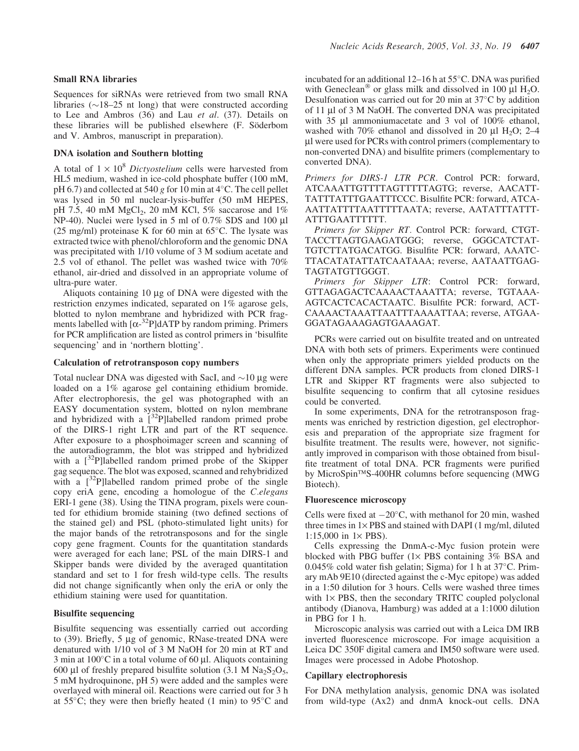Sequences for siRNAs were retrieved from two small RNA libraries ( $\sim$ 18–25 nt long) that were constructed according to Lee and Ambros (36) and Lau et al. (37). Details on these libraries will be published elsewhere (F. Söderbom and V. Ambros, manuscript in preparation).

# DNA isolation and Southern blotting

A total of  $1 \times 10^8$  *Dictyostelium* cells were harvested from HL5 medium, washed in ice-cold phosphate buffer (100 mM, pH 6.7) and collected at 540 g for 10 min at  $4^{\circ}$ C. The cell pellet was lysed in 50 ml nuclear-lysis-buffer (50 mM HEPES, pH 7.5, 40 mM MgCl<sub>2</sub>, 20 mM KCl, 5% saccarose and  $1\%$ NP-40). Nuclei were lysed in 5 ml of 0.7% SDS and 100 µl (25 mg/ml) proteinase K for 60 min at  $65^{\circ}$ C. The lysate was extracted twice with phenol/chloroform and the genomic DNA was precipitated with 1/10 volume of 3 M sodium acetate and 2.5 vol of ethanol. The pellet was washed twice with 70% ethanol, air-dried and dissolved in an appropriate volume of ultra-pure water.

Aliquots containing  $10 \mu$ g of DNA were digested with the restriction enzymes indicated, separated on 1% agarose gels, blotted to nylon membrane and hybridized with PCR fragments labelled with  $\left[\alpha^{-32}P\right]$ dATP by random priming. Primers for PCR amplification are listed as control primers in 'bisulfite sequencing' and in 'northern blotting'.

#### Calculation of retrotransposon copy numbers

Total nuclear DNA was digested with SacI, and  $\sim$ 10 µg were loaded on a 1% agarose gel containing ethidium bromide. After electrophoresis, the gel was photographed with an EASY documentation system, blotted on nylon membrane and hybridized with a  $[32P]$ labelled random primed probe of the DIRS-1 right LTR and part of the RT sequence. After exposure to a phosphoimager screen and scanning of the autoradiogramm, the blot was stripped and hybridized with a  $\lceil 3^2P \rceil$ labelled random primed probe of the Skipper gag sequence. The blot was exposed, scanned and rehybridized with a  $\left[\begin{array}{cc}3^2P\end{array}\right]$ labelled random primed probe of the single copy eriA gene, encoding a homologue of the C.elegans ERI-1 gene (38). Using the TINA program, pixels were counted for ethidium bromide staining (two defined sections of the stained gel) and PSL (photo-stimulated light units) for the major bands of the retrotransposons and for the single copy gene fragment. Counts for the quantitation standards were averaged for each lane; PSL of the main DIRS-1 and Skipper bands were divided by the averaged quantitation standard and set to 1 for fresh wild-type cells. The results did not change significantly when only the eriA or only the ethidium staining were used for quantitation.

#### Bisulfite sequencing

Bisulfite sequencing was essentially carried out according to (39). Briefly, 5 µg of genomic, RNase-treated DNA were denatured with 1/10 vol of 3 M NaOH for 20 min at RT and 3 min at  $100^{\circ}$ C in a total volume of 60 µl. Aliquots containing 600 µl of freshly prepared bisulfite solution (3.1 M  $\text{Na}_2\text{S}_2\text{O}_5$ , 5 mM hydroquinone, pH 5) were added and the samples were overlayed with mineral oil. Reactions were carried out for 3 h at  $55^{\circ}$ C; they were then briefly heated (1 min) to  $95^{\circ}$ C and incubated for an additional  $12-16$  h at  $55^{\circ}$ C. DNA was purified with Geneclean<sup>®</sup> or glass milk and dissolved in 100  $\mu$ l H<sub>2</sub>O. Desulfonation was carried out for 20 min at  $37^{\circ}$ C by addition of 11 ml of 3 M NaOH. The converted DNA was precipitated with 35 µl ammoniumacetate and 3 vol of 100% ethanol, washed with 70% ethanol and dissolved in 20  $\mu$ l H<sub>2</sub>O; 2–4 ml were used for PCRs with control primers (complementary to non-converted DNA) and bisulfite primers (complementary to converted DNA).

Primers for DIRS-1 LTR PCR. Control PCR: forward, ATCAAATTGTTTTAGTTTTTAGTG; reverse, AACATT-TATTTATTTGAATTTCCC. Bisulfite PCR: forward, ATCA-AATTATTTTAATTTTTAATA; reverse, AATATTTATTT-ATTTGAATTTTTT.

Primers for Skipper RT. Control PCR: forward, CTGT-TACCTTAGTGAAGATGGG; reverse, GGGCATCTAT-TGTCTTATGACATGG. Bisulfite PCR: forward, AAATC-TTACATATATTATCAATAAA; reverse, AATAATTGAG-TAGTATGTTGGGT.

Primers for Skipper LTR: Control PCR: forward, GTTAGAGACTCAAAACTAAATTA; reverse, TGTAAA-AGTCACTCACACTAATC. Bisulfite PCR: forward, ACT-CAAAACTAAATTAATTTAAAATTAA; reverse, ATGAA-GGATAGAAAGAGTGAAAGAT.

PCRs were carried out on bisulfite treated and on untreated DNA with both sets of primers. Experiments were continued when only the appropriate primers yielded products on the different DNA samples. PCR products from cloned DIRS-1 LTR and Skipper RT fragments were also subjected to bisulfite sequencing to confirm that all cytosine residues could be converted.

In some experiments, DNA for the retrotransposon fragments was enriched by restriction digestion, gel electrophoresis and preparation of the appropriate size fragment for bisulfite treatment. The results were, however, not significantly improved in comparison with those obtained from bisulfite treatment of total DNA. PCR fragments were purified by MicroSpin<sup>TM</sup>S-400HR columns before sequencing (MWG Biotech).

#### Fluorescence microscopy

Cells were fixed at  $-20^{\circ}$ C, with methanol for 20 min, washed three times in  $1 \times PBS$  and stained with DAPI (1 mg/ml, diluted 1:15,000 in  $1 \times PBS$ ).

Cells expressing the DnmA-c-Myc fusion protein were blocked with PBG buffer  $(1 \times PBS)$  containing 3% BSA and  $0.045\%$  cold water fish gelatin; Sigma) for 1 h at  $37^{\circ}$ C. Primary mAb 9E10 (directed against the c-Myc epitope) was added in a 1:50 dilution for 3 hours. Cells were washed three times with  $1\times$  PBS, then the secondary TRITC coupled polyclonal antibody (Dianova, Hamburg) was added at a 1:1000 dilution in PBG for 1 h.

Microscopic analysis was carried out with a Leica DM IRB inverted fluorescence microscope. For image acquisition a Leica DC 350F digital camera and IM50 software were used. Images were processed in Adobe Photoshop.

#### Capillary electrophoresis

For DNA methylation analysis, genomic DNA was isolated from wild-type (Ax2) and dnmA knock-out cells. DNA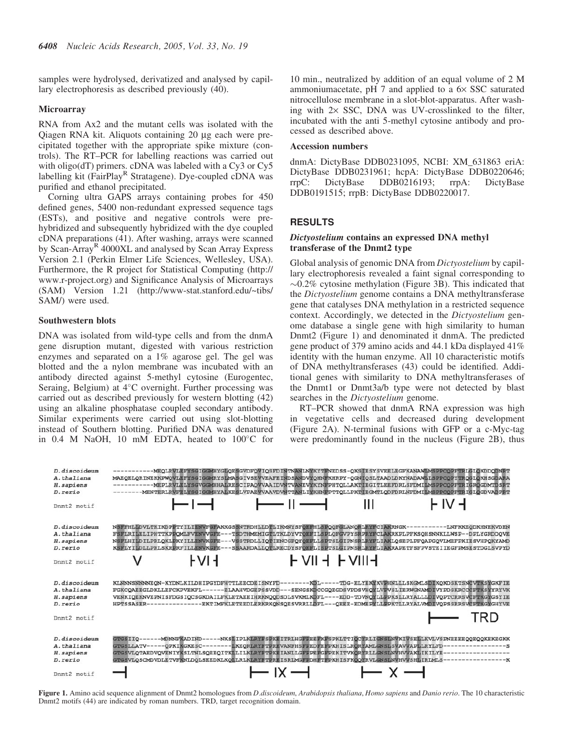samples were hydrolysed, derivatized and analysed by capillary electrophoresis as described previously (40).

#### **Microarray**

RNA from Ax2 and the mutant cells was isolated with the Qiagen RNA kit. Aliquots containing 20 µg each were precipitated together with the appropriate spike mixture (controls). The RT–PCR for labelling reactions was carried out with oligo(dT) primers. cDNA was labeled with a Cy3 or Cy5 labelling kit (FairPlay<sup>R</sup> Stratagene). Dye-coupled cDNA was purified and ethanol precipitated.

Corning ultra GAPS arrays containing probes for 450 defined genes, 5400 non-redundant expressed sequence tags (ESTs), and positive and negative controls were prehybridized and subsequently hybridized with the dye coupled cDNA preparations (41). After washing, arrays were scanned by Scan-Array<sup>R</sup> 4000XL and analysed by Scan Array Express Version 2.1 (Perkin Elmer Life Sciences, Wellesley, USA). Furthermore, the R project for Statistical Computing (<http://> www.r-project.org) and Significance Analysis of Microarrays (SAM) Version 1.21 [\(http://www-stat.stanford.edu/~tibs/](http://www-stat.stanford.edu/~tibs/) SAM/) were used.

#### Southwestern blots

DNA was isolated from wild-type cells and from the dnmA gene disruption mutant, digested with various restriction enzymes and separated on a 1% agarose gel. The gel was blotted and the a nylon membrane was incubated with an antibody directed against 5-methyl cytosine (Eurogentec, Seraing, Belgium) at  $4^{\circ}$ C overnight. Further processing was carried out as described previously for western blotting (42) using an alkaline phosphatase coupled secondary antibody. Similar experiments were carried out using slot-blotting instead of Southern blotting. Purified DNA was denatured in 0.4 M NaOH, 10 mM EDTA, heated to  $100^{\circ}$ C for

10 min., neutralized by addition of an equal volume of 2 M ammoniumacetate, pH  $7$  and applied to a  $6\times$  SSC saturated nitrocellulose membrane in a slot-blot-apparatus. After washing with  $2 \times$  SSC, DNA was UV-crosslinked to the filter, incubated with the anti 5-methyl cytosine antibody and processed as described above.

#### Accession numbers

dnmA: DictyBase DDB0231095, NCBI: XM\_631863 eriA: DictyBase DDB0231961; hcpA: DictyBase DDB0220646; rrpC: DictyBase DDB0216193; rrpA: DictyBase DDB0191515; rrpB: DictyBase DDB0220017.

## RESULTS

## Dictyostelium contains an expressed DNA methyl transferase of the Dnmt2 type

Global analysis of genomic DNA from Dictyostelium by capillary electrophoresis revealed a faint signal corresponding to  $\sim 0.2\%$  cytosine methylation (Figure 3B). This indicated that the Dictyostelium genome contains a DNA methyltransferase gene that catalyses DNA methylation in a restricted sequence context. Accordingly, we detected in the Dictyostelium genome database a single gene with high similarity to human Dnmt2 (Figure 1) and denominated it dnmA. The predicted gene product of 379 amino acids and 44.1 kDa displayed 41% identity with the human enzyme. All 10 characteristic motifs of DNA methyltransferases (43) could be identified. Additional genes with similarity to DNA methyltransferases of the Dnmt1 or Dnmt3a/b type were not detected by blast searches in the *Dictyostelium* genome.

RT–PCR showed that dnmA RNA expression was high in vegetative cells and decreased during development (Figure 2A). N-terminal fusions with GFP or a c-Myc-tag were predominantly found in the nucleus (Figure 2B), thus



Figure 1. Amino acid sequence alignment of Dnmt2 homologues from D.discoideum, Arabidopsis thaliana, Homo sapiens and Danio rerio. The 10 characteristic Dnmt2 motifs (44) are indicated by roman numbers. TRD, target recognition domain.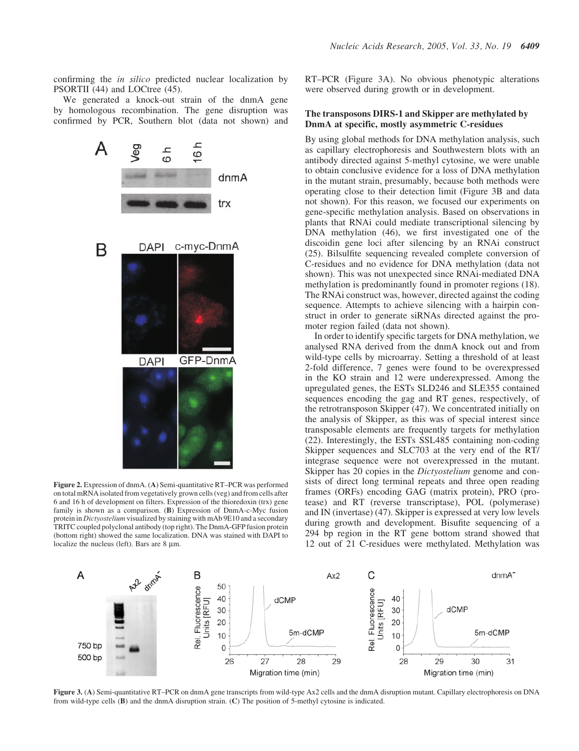confirming the in silico predicted nuclear localization by PSORTII (44) and LOCtree (45).

We generated a knock-out strain of the dnmA gene by homologous recombination. The gene disruption was confirmed by PCR, Southern blot (data not shown) and



Figure 2. Expression of dnmA. (A) Semi-quantitative RT–PCR was performed on total mRNA isolated from vegetatively grown cells (veg) and from cells after 6 and 16 h of development on filters. Expression of the thioredoxin (trx) gene family is shown as a comparison. (B) Expression of DnmA-c-Myc fusion protein in Dictyostelium visualized by staining with mAb 9E10 and a secondary TRITC coupled polyclonal antibody (top right). The DnmA-GFP fusion protein (bottom right) showed the same localization. DNA was stained with DAPI to localize the nucleus (left). Bars are  $8 \mu m$ .

RT–PCR (Figure 3A). No obvious phenotypic alterations were observed during growth or in development.

# The transposons DIRS-1 and Skipper are methylated by DnmA at specific, mostly asymmetric C-residues

By using global methods for DNA methylation analysis, such as capillary electrophoresis and Southwestern blots with an antibody directed against 5-methyl cytosine, we were unable to obtain conclusive evidence for a loss of DNA methylation in the mutant strain, presumably, because both methods were operating close to their detection limit (Figure 3B and data not shown). For this reason, we focused our experiments on gene-specific methylation analysis. Based on observations in plants that RNAi could mediate transcriptional silencing by DNA methylation (46), we first investigated one of the discoidin gene loci after silencing by an RNAi construct (25). Bilsulfite sequencing revealed complete conversion of C-residues and no evidence for DNA methylation (data not shown). This was not unexpected since RNAi-mediated DNA methylation is predominantly found in promoter regions (18). The RNAi construct was, however, directed against the coding sequence. Attempts to achieve silencing with a hairpin construct in order to generate siRNAs directed against the promoter region failed (data not shown).

In order to identify specific targets for DNA methylation, we analysed RNA derived from the dnmA knock out and from wild-type cells by microarray. Setting a threshold of at least 2-fold difference, 7 genes were found to be overexpressed in the KO strain and 12 were underexpressed. Among the upregulated genes, the ESTs SLD246 and SLE355 contained sequences encoding the gag and RT genes, respectively, of the retrotransposon Skipper (47). We concentrated initially on the analysis of Skipper, as this was of special interest since transposable elements are frequently targets for methylation (22). Interestingly, the ESTs SSL485 containing non-coding Skipper sequences and SLC703 at the very end of the RT/ integrase sequence were not overexpressed in the mutant. Skipper has 20 copies in the *Dictyostelium* genome and consists of direct long terminal repeats and three open reading frames (ORFs) encoding GAG (matrix protein), PRO (protease) and RT (reverse transcriptase), POL (polymerase) and IN (invertase) (47). Skipper is expressed at very low levels during growth and development. Bisufite sequencing of a 294 bp region in the RT gene bottom strand showed that 12 out of 21 C-residues were methylated. Methylation was



Figure 3. (A) Semi-quantitative RT–PCR on dnmA gene transcripts from wild-type Ax2 cells and the dnmA disruption mutant. Capillary electrophoresis on DNA from wild-type cells (B) and the dnmA disruption strain. (C) The position of 5-methyl cytosine is indicated.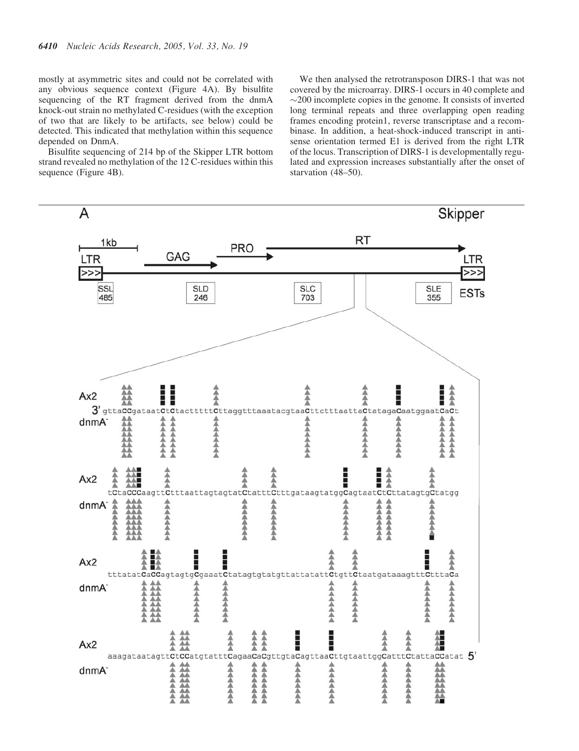mostly at asymmetric sites and could not be correlated with any obvious sequence context (Figure 4A). By bisulfite sequencing of the RT fragment derived from the dnmA knock-out strain no methylated C-residues (with the exception of two that are likely to be artifacts, see below) could be detected. This indicated that methylation within this sequence depended on DnmA.

Bisulfite sequencing of 214 bp of the Skipper LTR bottom strand revealed no methylation of the 12 C-residues within this sequence (Figure 4B).

We then analysed the retrotransposon DIRS-1 that was not covered by the microarray. DIRS-1 occurs in 40 complete and  $\sim$ 200 incomplete copies in the genome. It consists of inverted long terminal repeats and three overlapping open reading frames encoding protein1, reverse transcriptase and a recombinase. In addition, a heat-shock-induced transcript in antisense orientation termed E1 is derived from the right LTR of the locus. Transcription of DIRS-1 is developmentally regulated and expression increases substantially after the onset of starvation (48–50).

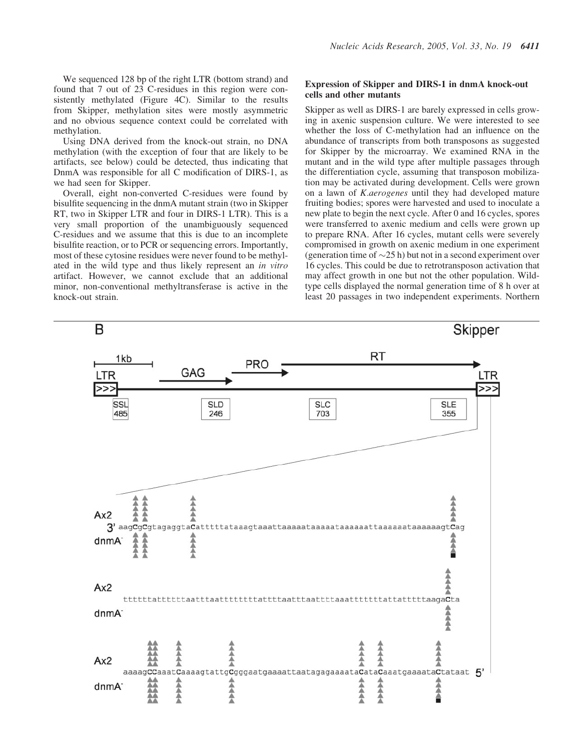We sequenced 128 bp of the right LTR (bottom strand) and found that 7 out of 23 C-residues in this region were consistently methylated (Figure 4C). Similar to the results from Skipper, methylation sites were mostly asymmetric and no obvious sequence context could be correlated with methylation.

Using DNA derived from the knock-out strain, no DNA methylation (with the exception of four that are likely to be artifacts, see below) could be detected, thus indicating that DnmA was responsible for all C modification of DIRS-1, as we had seen for Skipper.

Overall, eight non-converted C-residues were found by bisulfite sequencing in the dnmA mutant strain (two in Skipper RT, two in Skipper LTR and four in DIRS-1 LTR). This is a very small proportion of the unambiguously sequenced C-residues and we assume that this is due to an incomplete bisulfite reaction, or to PCR or sequencing errors. Importantly, most of these cytosine residues were never found to be methylated in the wild type and thus likely represent an in vitro artifact. However, we cannot exclude that an additional minor, non-conventional methyltransferase is active in the knock-out strain.

## Expression of Skipper and DIRS-1 in dnmA knock-out cells and other mutants

Skipper as well as DIRS-1 are barely expressed in cells growing in axenic suspension culture. We were interested to see whether the loss of C-methylation had an influence on the abundance of transcripts from both transposons as suggested for Skipper by the microarray. We examined RNA in the mutant and in the wild type after multiple passages through the differentiation cycle, assuming that transposon mobilization may be activated during development. Cells were grown on a lawn of K.aerogenes until they had developed mature fruiting bodies; spores were harvested and used to inoculate a new plate to begin the next cycle. After 0 and 16 cycles, spores were transferred to axenic medium and cells were grown up to prepare RNA. After 16 cycles, mutant cells were severely compromised in growth on axenic medium in one experiment (generation time of  $\sim$ 25 h) but not in a second experiment over 16 cycles. This could be due to retrotransposon activation that may affect growth in one but not the other population. Wildtype cells displayed the normal generation time of 8 h over at least 20 passages in two independent experiments. Northern

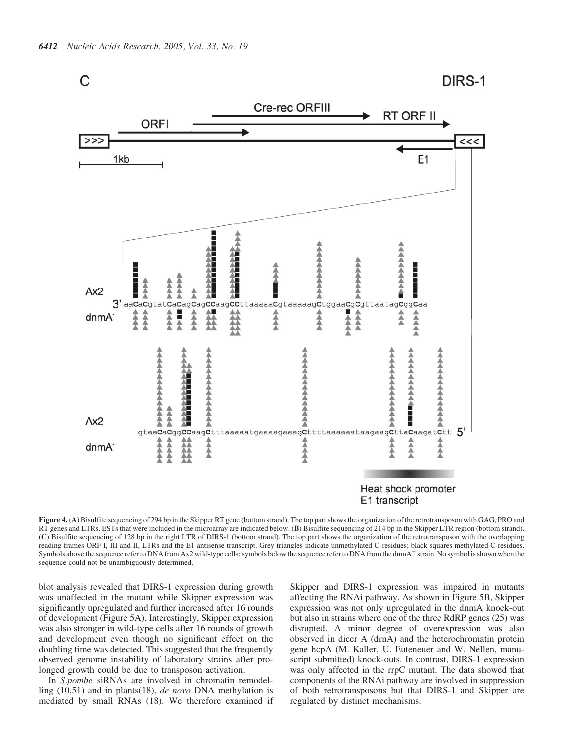C

DIRS-1

![](_page_7_Figure_2.jpeg)

Figure 4. (A) Bisulfite sequencing of 294 bp in the Skipper RT gene (bottom strand). The top part shows the organization of the retrotransposon with GAG, PRO and RT genes and LTRs. ESTs that were included in the microarray are indicated below. (B) Bisulfite sequencing of 214 bp in the Skipper LTR region (bottom strand). (C) Bisulfite sequencing of 128 bp in the right LTR of DIRS-1 (bottom strand). The top part shows the organization of the retrotransposon with the overlapping reading frames ORF I, III and II, LTRs and the E1 antisense transcript. Grey triangles indicate unmethylated C-residues; black squares methylated C-residues. Symbols above the sequence refer to DNA from Ax2 wild-type cells; symbols below the sequence refer to DNA from the dnmA<sup>-</sup> strain. No symbol is shown when the sequence could not be unambiguously determined.

blot analysis revealed that DIRS-1 expression during growth was unaffected in the mutant while Skipper expression was significantly upregulated and further increased after 16 rounds of development (Figure 5A). Interestingly, Skipper expression was also stronger in wild-type cells after 16 rounds of growth and development even though no significant effect on the doubling time was detected. This suggested that the frequently observed genome instability of laboratory strains after prolonged growth could be due to transposon activation.

In *S.pombe* siRNAs are involved in chromatin remodelling  $(10,51)$  and in plants $(18)$ , de novo DNA methylation is mediated by small RNAs (18). We therefore examined if Skipper and DIRS-1 expression was impaired in mutants affecting the RNAi pathway. As shown in Figure 5B, Skipper expression was not only upregulated in the dnmA knock-out but also in strains where one of the three RdRP genes (25) was disrupted. A minor degree of overexpression was also observed in dicer A (drnA) and the heterochromatin protein gene hcpA (M. Kaller, U. Euteneuer and W. Nellen, manuscript submitted) knock-outs. In contrast, DIRS-1 expression was only affected in the rrpC mutant. The data showed that components of the RNAi pathway are involved in suppression of both retrotransposons but that DIRS-1 and Skipper are regulated by distinct mechanisms.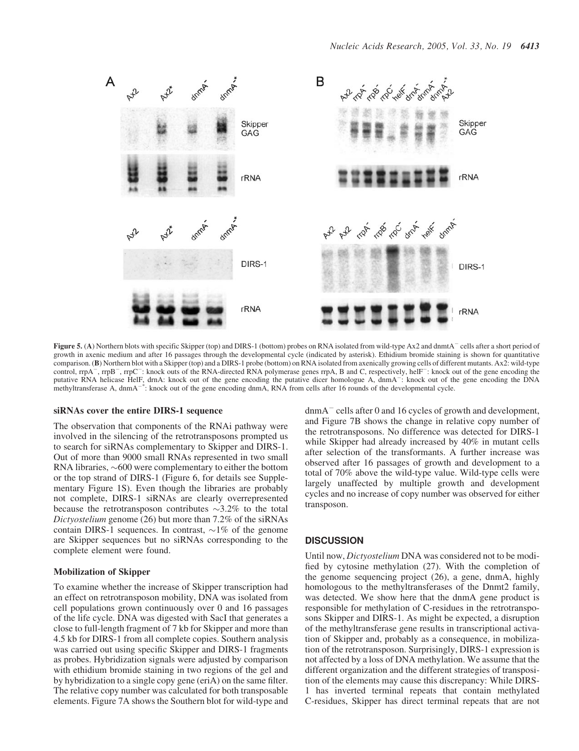![](_page_8_Figure_1.jpeg)

Figure 5. (A) Northern blots with specific Skipper (top) and DIRS-1 (bottom) probes on RNA isolated from wild-type Ax2 and dnmtA<sup>-</sup> cells after a short period of growth in axenic medium and after 16 passages through the developmental cycle (indicated by asterisk). Ethidium bromide staining is shown for quantitative comparison. (B) Northern blot with a Skipper (top) and a DIRS-1 probe (bottom) on RNA isolated from axenically growing cells of different mutants. Ax2: wild-type control, rrpA<sup>-</sup>, rrpB<sup>-</sup>, rrpC<sup>-</sup>: knock outs of the RNA-directed RNA polymerase genes rrpA, B and C, respectively, helF<sup>-</sup>: knock out of the gene encoding the putative RNA helicase HelF, drnA: knock out of the gene encoding the putative dicer homologue A, dnmA-: knock out of the gene encoding the DNA nethyltransferase A, dnmA<sup>-\*</sup>: knock out of the gene encoding dnmA, RNA from cells after 16 rounds of the developmental cycle.

## siRNAs cover the entire DIRS-1 sequence

The observation that components of the RNAi pathway were involved in the silencing of the retrotransposons prompted us to search for siRNAs complementary to Skipper and DIRS-1. Out of more than 9000 small RNAs represented in two small RNA libraries,  $\sim 600$  were complementary to either the bottom or the top strand of DIRS-1 (Figure 6, for details see Supplementary Figure 1S). Even though the libraries are probably not complete, DIRS-1 siRNAs are clearly overrepresented because the retrotransposon contributes  $\sim$ 3.2% to the total Dictyostelium genome (26) but more than 7.2% of the siRNAs contain DIRS-1 sequences. In contrast,  $\sim$ 1% of the genome are Skipper sequences but no siRNAs corresponding to the complete element were found.

#### Mobilization of Skipper

To examine whether the increase of Skipper transcription had an effect on retrotransposon mobility, DNA was isolated from cell populations grown continuously over 0 and 16 passages of the life cycle. DNA was digested with SacI that generates a close to full-length fragment of 7 kb for Skipper and more than 4.5 kb for DIRS-1 from all complete copies. Southern analysis was carried out using specific Skipper and DIRS-1 fragments as probes. Hybridization signals were adjusted by comparison with ethidium bromide staining in two regions of the gel and by hybridization to a single copy gene (eriA) on the same filter. The relative copy number was calculated for both transposable elements. Figure 7A shows the Southern blot for wild-type and

dnmA<sup>-</sup> cells after 0 and 16 cycles of growth and development, and Figure 7B shows the change in relative copy number of the retrotransposons. No difference was detected for DIRS-1 while Skipper had already increased by 40% in mutant cells after selection of the transformants. A further increase was observed after 16 passages of growth and development to a total of 70% above the wild-type value. Wild-type cells were largely unaffected by multiple growth and development cycles and no increase of copy number was observed for either transposon.

#### **DISCUSSION**

Until now, Dictyostelium DNA was considered not to be modified by cytosine methylation (27). With the completion of the genome sequencing project (26), a gene, dnmA, highly homologous to the methyltransferases of the Dnmt2 family, was detected. We show here that the dnmA gene product is responsible for methylation of C-residues in the retrotransposons Skipper and DIRS-1. As might be expected, a disruption of the methyltransferase gene results in transcriptional activation of Skipper and, probably as a consequence, in mobilization of the retrotransposon. Surprisingly, DIRS-1 expression is not affected by a loss of DNA methylation. We assume that the different organization and the different strategies of transposition of the elements may cause this discrepancy: While DIRS-1 has inverted terminal repeats that contain methylated C-residues, Skipper has direct terminal repeats that are not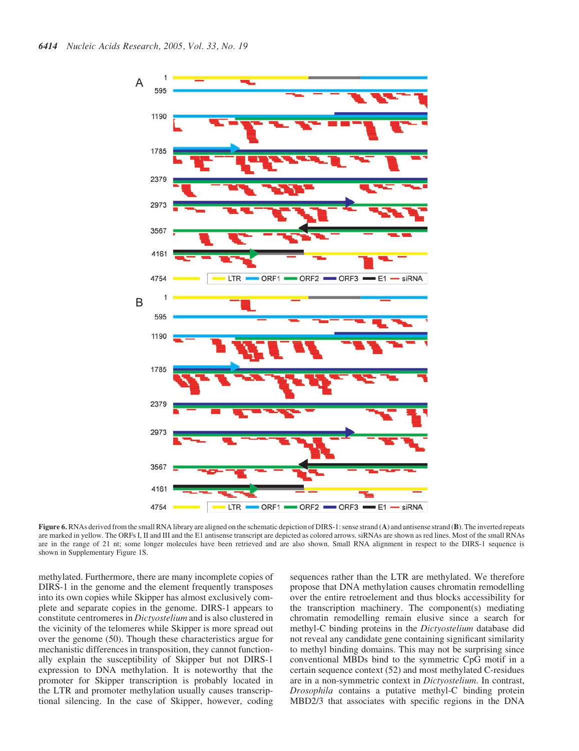![](_page_9_Figure_1.jpeg)

Figure 6. RNAs derived from the small RNA library are aligned on the schematic depiction of DIRS-1: sense strand (A) and antisense strand (B). The inverted repeats are marked in yellow. The ORFs I, II and III and the E1 antisense transcript are depicted as colored arrows. siRNAs are shown as red lines. Most of the small RNAs are in the range of 21 nt; some longer molecules have been retrieved and are also shown. Small RNA alignment in respect to the DIRS-1 sequence is shown in Supplementary Figure 1S.

methylated. Furthermore, there are many incomplete copies of DIRS-1 in the genome and the element frequently transposes into its own copies while Skipper has almost exclusively complete and separate copies in the genome. DIRS-1 appears to constitute centromeres in Dictyostelium and is also clustered in the vicinity of the telomeres while Skipper is more spread out over the genome (50). Though these characteristics argue for mechanistic differences in transposition, they cannot functionally explain the susceptibility of Skipper but not DIRS-1 expression to DNA methylation. It is noteworthy that the promoter for Skipper transcription is probably located in the LTR and promoter methylation usually causes transcriptional silencing. In the case of Skipper, however, coding sequences rather than the LTR are methylated. We therefore propose that DNA methylation causes chromatin remodelling over the entire retroelement and thus blocks accessibility for the transcription machinery. The component(s) mediating chromatin remodelling remain elusive since a search for methyl-C binding proteins in the Dictyostelium database did not reveal any candidate gene containing significant similarity to methyl binding domains. This may not be surprising since conventional MBDs bind to the symmetric CpG motif in a certain sequence context (52) and most methylated C-residues are in a non-symmetric context in Dictyostelium. In contrast, Drosophila contains a putative methyl-C binding protein MBD2/3 that associates with specific regions in the DNA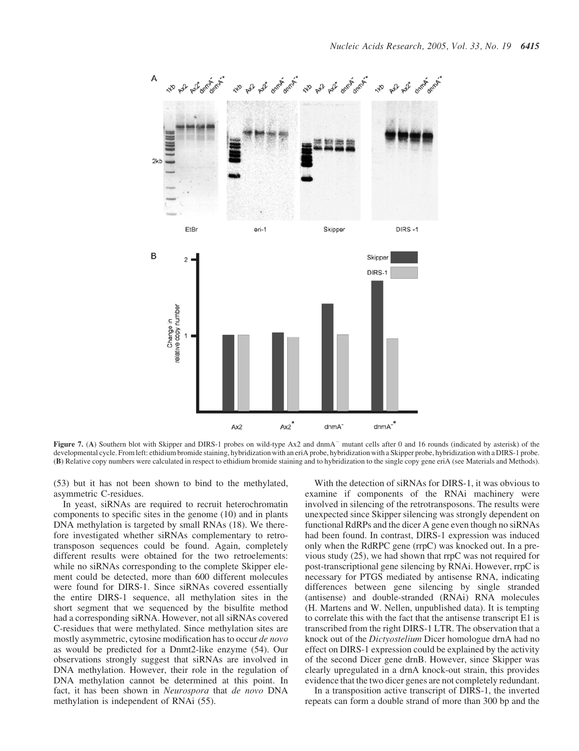![](_page_10_Figure_1.jpeg)

Figure 7. (A) Southern blot with Skipper and DIRS-1 probes on wild-type Ax2 and dnmA<sup>-</sup> mutant cells after 0 and 16 rounds (indicated by asterisk) of the developmental cycle. From left: ethidium bromide staining, hybridization with an eriA probe, hybridization with a Skipper probe, hybridization with a DIRS-1 probe. (B) Relative copy numbers were calculated in respect to ethidium bromide staining and to hybridization to the single copy gene eriA (see Materials and Methods).

(53) but it has not been shown to bind to the methylated, asymmetric C-residues.

In yeast, siRNAs are required to recruit heterochromatin components to specific sites in the genome (10) and in plants DNA methylation is targeted by small RNAs (18). We therefore investigated whether siRNAs complementary to retrotransposon sequences could be found. Again, completely different results were obtained for the two retroelements: while no siRNAs corresponding to the complete Skipper element could be detected, more than 600 different molecules were found for DIRS-1. Since siRNAs covered essentially the entire DIRS-1 sequence, all methylation sites in the short segment that we sequenced by the bisulfite method had a corresponding siRNA. However, not all siRNAs covered C-residues that were methylated. Since methylation sites are mostly asymmetric, cytosine modification has to occur de novo as would be predicted for a Dnmt2-like enzyme (54). Our observations strongly suggest that siRNAs are involved in DNA methylation. However, their role in the regulation of DNA methylation cannot be determined at this point. In fact, it has been shown in Neurospora that de novo DNA methylation is independent of RNAi (55).

With the detection of siRNAs for DIRS-1, it was obvious to examine if components of the RNAi machinery were involved in silencing of the retrotransposons. The results were unexpected since Skipper silencing was strongly dependent on functional RdRPs and the dicer A gene even though no siRNAs had been found. In contrast, DIRS-1 expression was induced only when the RdRPC gene (rrpC) was knocked out. In a previous study (25), we had shown that rrpC was not required for post-transcriptional gene silencing by RNAi. However, rrpC is necessary for PTGS mediated by antisense RNA, indicating differences between gene silencing by single stranded (antisense) and double-stranded (RNAi) RNA molecules (H. Martens and W. Nellen, unpublished data). It is tempting to correlate this with the fact that the antisense transcript E1 is transcribed from the right DIRS-1 LTR. The observation that a knock out of the Dictyostelium Dicer homologue drnA had no effect on DIRS-1 expression could be explained by the activity of the second Dicer gene drnB. However, since Skipper was clearly upregulated in a drnA knock-out strain, this provides evidence that the two dicer genes are not completely redundant.

In a transposition active transcript of DIRS-1, the inverted repeats can form a double strand of more than 300 bp and the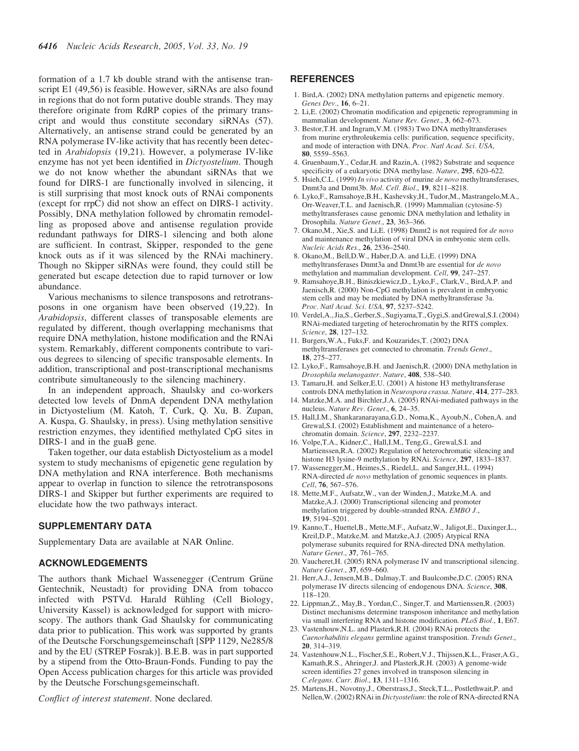formation of a 1.7 kb double strand with the antisense transcript E1 (49,56) is feasible. However, siRNAs are also found in regions that do not form putative double strands. They may therefore originate from RdRP copies of the primary transcript and would thus constitute secondary siRNAs (57). Alternatively, an antisense strand could be generated by an RNA polymerase IV-like activity that has recently been detected in Arabidopsis (19,21). However, a polymerase IV-like enzyme has not yet been identified in Dictyostelium. Though we do not know whether the abundant siRNAs that we found for DIRS-1 are functionally involved in silencing, it is still surprising that most knock outs of RNAi components (except for rrpC) did not show an effect on DIRS-1 activity. Possibly, DNA methylation followed by chromatin remodelling as proposed above and antisense regulation provide redundant pathways for DIRS-1 silencing and both alone are sufficient. In contrast, Skipper, responded to the gene knock outs as if it was silenced by the RNAi machinery. Though no Skipper siRNAs were found, they could still be generated but escape detection due to rapid turnover or low abundance.

Various mechanisms to silence transposons and retrotransposons in one organism have been observed (19,22). In Arabidopsis, different classes of transposable elements are regulated by different, though overlapping mechanisms that require DNA methylation, histone modification and the RNAi system. Remarkably, different components contribute to various degrees to silencing of specific transposable elements. In addition, transcriptional and post-transcriptional mechanisms contribute simultaneously to the silencing machinery.

In an independent approach, Shaulsky and co-workers detected low levels of DnmA dependent DNA methylation in Dictyostelium (M. Katoh, T. Curk, Q. Xu, B. Zupan, A. Kuspa, G. Shaulsky, in press). Using methylation sensitive restriction enzymes, they identified methylated CpG sites in DIRS-1 and in the guaB gene.

Taken together, our data establish Dictyostelium as a model system to study mechanisms of epigenetic gene regulation by DNA methylation and RNA interference. Both mechanisms appear to overlap in function to silence the retrotransposons DIRS-1 and Skipper but further experiments are required to elucidate how the two pathways interact.

# SUPPLEMENTARY DATA

Supplementary Data are available at NAR Online.

# ACKNOWLEDGEMENTS

The authors thank Michael Wassenegger (Centrum Grüne Gentechnik, Neustadt) for providing DNA from tobacco infected with PSTVd. Harald Rühling (Cell Biology, University Kassel) is acknowledged for support with microscopy. The authors thank Gad Shaulsky for communicating data prior to publication. This work was supported by grants of the Deutsche Forschungsgemeinschaft [SPP 1129, Ne285/8 and by the EU (STREP Fosrak)]. B.E.B. was in part supported by a stipend from the Otto-Braun-Fonds. Funding to pay the Open Access publication charges for this article was provided by the Deutsche Forschungsgemeinschaft.

Conflict of interest statement. None declared.

## **REFERENCES**

- 1. Bird,A. (2002) DNA methylation patterns and epigenetic memory. Genes Dev., 16, 6–21.
- 2. Li,E. (2002) Chromatin modification and epigenetic reprogramming in mammalian development. Nature Rev. Genet., 3, 662-673.
- 3. Bestor,T.H. and Ingram,V.M. (1983) Two DNA methyltransferases from murine erythroleukemia cells: purification, sequence specificity, and mode of interaction with DNA. Proc. Natl Acad. Sci. USA, 80, 5559–5563.
- 4. Gruenbaum,Y., Cedar,H. and Razin,A. (1982) Substrate and sequence specificity of a eukaryotic DNA methylase. Nature, 295, 620-622.
- 5. Hsieh, C.L. (1999) In vivo activity of murine de novo methyltransferases, Dnmt3a and Dnmt3b. Mol. Cell. Biol., 19, 8211–8218.
- 6. Lyko,F., Ramsahoye,B.H., Kashevsky,H., Tudor,M., Mastrangelo,M.A., Orr-Weaver,T.L. and Jaenisch,R. (1999) Mammalian (cytosine-5) methyltransferases cause genomic DNA methylation and lethality in Drosophila. Nature Genet., 23, 363–366.
- 7. Okano,M., Xie,S. and Li,E. (1998) Dnmt2 is not required for de novo and maintenance methylation of viral DNA in embryonic stem cells. Nucleic Acids Res., 26, 2536–2540.
- 8. Okano,M., Bell,D.W., Haber,D.A. and Li,E. (1999) DNA methyltransferases Dnmt3a and Dnmt3b are essential for de novo methylation and mammalian development. Cell, 99, 247–257.
- 9. Ramsahoye,B.H., Biniszkiewicz,D., Lyko,F., Clark,V., Bird,A.P. and Jaenisch,R. (2000) Non-CpG methylation is prevalent in embryonic stem cells and may be mediated by DNA methyltransferase 3a. Proc. Natl Acad. Sci. USA, 97, 5237–5242.
- 10. Verdel,A., Jia,S., Gerber,S., Sugiyama,T., Gygi,S. and Grewal,S.I. (2004) RNAi-mediated targeting of heterochromatin by the RITS complex. Science, 28, 127–132.
- 11. Burgers,W.A., Fuks,F. and Kouzarides,T. (2002) DNA methyltransferases get connected to chromatin. Trends Genet., 18, 275–277.
- 12. Lyko,F., Ramsahoye,B.H. and Jaenisch,R. (2000) DNA methylation in Drosophila melanogaster. Nature, 408, 538–540.
- 13. Tamaru,H. and Selker,E.U. (2001) A histone H3 methyltransferase controls DNA methylation in Neurospora crassa. Nature, 414, 277–283.
- 14. Matzke,M.A. and Birchler,J.A. (2005) RNAi-mediated pathways in the nucleus. Nature Rev. Genet., 6, 24–35.
- 15. Hall,I.M., Shankaranarayana,G.D., Noma,K., Ayoub,N., Cohen,A. and Grewal,S.I. (2002) Establishment and maintenance of a heterochromatin domain. Science, 297, 2232–2237.
- 16. Volpe,T.A., Kidner,C., Hall,I.M., Teng,G., Grewal,S.I. and Martienssen,R.A. (2002) Regulation of heterochromatic silencing and histone H3 lysine-9 methylation by RNAi. Science, 297, 1833–1837.
- 17. Wassenegger,M., Heimes,S., Riedel,L. and Sanger,H.L. (1994) RNA-directed *de novo* methylation of genomic sequences in plants. Cell, 76, 567–576.
- 18. Mette,M.F., Aufsatz,W., van der Winden,J., Matzke,M.A. and Matzke,A.J. (2000) Transcriptional silencing and promoter methylation triggered by double-stranded RNA. EMBO J., 19, 5194–5201.
- 19. Kanno,T., Huettel,B., Mette,M.F., Aufsatz,W., Jaligot,E., Daxinger,L., Kreil,D.P., Matzke,M. and Matzke,A.J. (2005) Atypical RNA polymerase subunits required for RNA-directed DNA methylation. Nature Genet., 37, 761–765.
- 20. Vaucheret,H. (2005) RNA polymerase IV and transcriptional silencing. Nature Genet., 37, 659–660.
- 21. Herr,A.J., Jensen,M.B., Dalmay,T. and Baulcombe,D.C. (2005) RNA polymerase IV directs silencing of endogenous DNA. Science, 308, 118–120.
- 22. Lippman,Z., May,B., Yordan,C., Singer,T. and Martienssen,R. (2003) Distinct mechanisms determine transposon inheritance and methylation via small interfering RNA and histone modification. PLoS Biol., 1, E67.
- 23. Vastenhouw,N.L. and Plasterk,R.H. (2004) RNAi protects the Caenorhabditis elegans germline against transposition. Trends Genet., 20, 314–319.
- 24. Vastenhouw,N.L., Fischer,S.E., Robert,V.J., Thijssen,K.L., Fraser,A.G., Kamath,R.S., Ahringer,J. and Plasterk,R.H. (2003) A genome-wide screen identifies 27 genes involved in transposon silencing in C.elegans. Curr. Biol., 13, 1311–1316.
- 25. Martens,H., Novotny,J., Oberstrass,J., Steck,T.L., Postlethwait,P. and Nellen,W. (2002) RNAi in Dictyostelium: the role of RNA-directed RNA